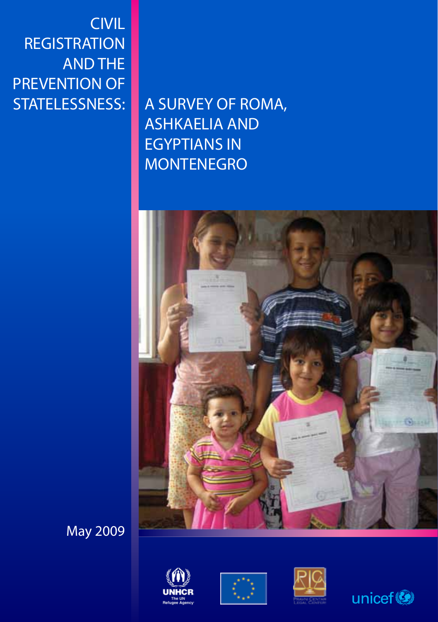01 Civil Registration and the Prevention of Statelessness: a Survey of Roma, Ashkaelia and Egyptians in Montenegro CIVIL **REGISTRATION** AND THE PREVENTION OF STATELESSNESS:

A SURVEY OF ROMA, ASHKAELIA AND EGYPTIANS IN MONTENEGRO



May 2009







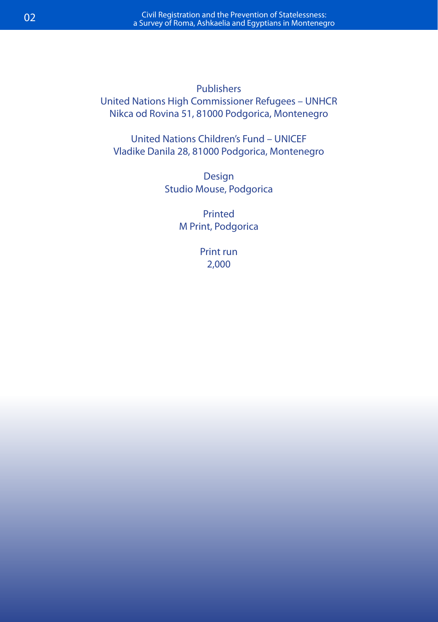Publishers United Nations High Commissioner Refugees – UNHCR Nikca od Rovina 51, 81000 Podgorica, Montenegro

United Nations Children's Fund – UNICEF Vladike Danila 28, 81000 Podgorica, Montenegro

> Design Studio Mouse, Podgorica

> > Printed M Print, Podgorica

> > > Print run 2,000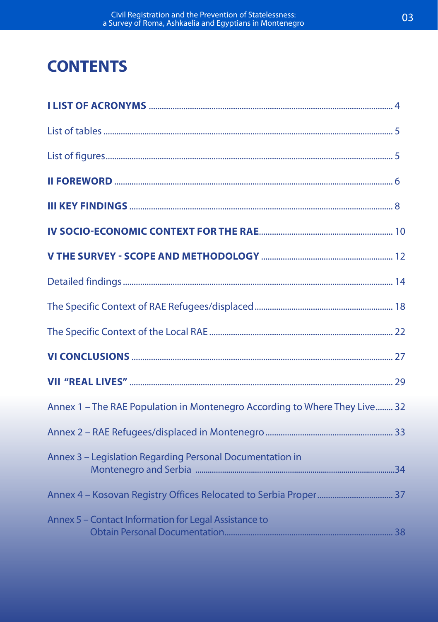# **CONTENTS**

| Annex 1 - The RAE Population in Montenegro According to Where They Live 32 |  |
|----------------------------------------------------------------------------|--|
|                                                                            |  |
| Annex 3 - Legislation Regarding Personal Documentation in                  |  |
|                                                                            |  |
| Annex 5 - Contact Information for Legal Assistance to                      |  |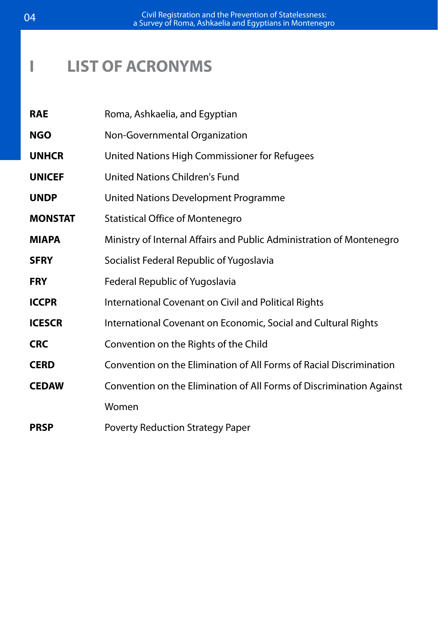## **I LIST OF ACRONYMS**

| <b>RAE</b>     | Roma, Ashkaelia, and Egyptian                                        |  |  |  |
|----------------|----------------------------------------------------------------------|--|--|--|
| <b>NGO</b>     | Non-Governmental Organization                                        |  |  |  |
| <b>UNHCR</b>   | United Nations High Commissioner for Refugees                        |  |  |  |
| <b>UNICEF</b>  | United Nations Children's Fund                                       |  |  |  |
| <b>UNDP</b>    | United Nations Development Programme                                 |  |  |  |
| <b>MONSTAT</b> | <b>Statistical Office of Montenegro</b>                              |  |  |  |
| <b>MIAPA</b>   | Ministry of Internal Affairs and Public Administration of Montenegro |  |  |  |
| <b>SFRY</b>    | Socialist Federal Republic of Yugoslavia                             |  |  |  |
| <b>FRY</b>     | Federal Republic of Yugoslavia                                       |  |  |  |
| <b>ICCPR</b>   | International Covenant on Civil and Political Rights                 |  |  |  |
| <b>ICESCR</b>  | International Covenant on Economic, Social and Cultural Rights       |  |  |  |
| <b>CRC</b>     | Convention on the Rights of the Child                                |  |  |  |
| <b>CERD</b>    | Convention on the Elimination of All Forms of Racial Discrimination  |  |  |  |
| <b>CEDAW</b>   | Convention on the Elimination of All Forms of Discrimination Against |  |  |  |
|                | Women                                                                |  |  |  |
| <b>PRSP</b>    | Poverty Reduction Strategy Paper                                     |  |  |  |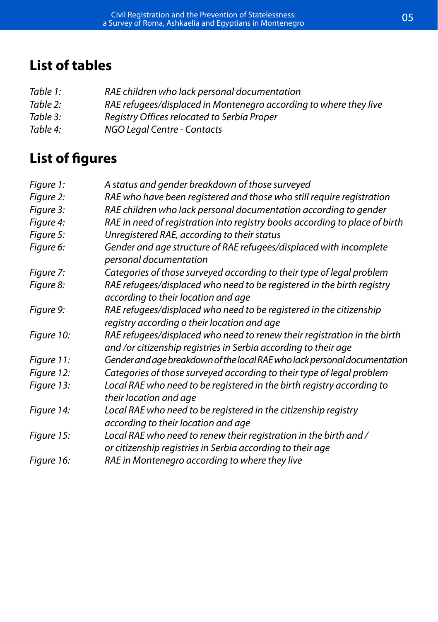### **List of tables**

- *Table 1: RAE children who lack personal documentation*
- *Table 2: RAE refugees/displaced in Montenegro according to where they live*
- *Table 3: Registry Offices relocated to Serbia Proper*
- *Table 4: NGO Legal Centre Contacts*

### **List of figures**

| Figure 1:  | A status and gender breakdown of those surveyed                                                                                             |
|------------|---------------------------------------------------------------------------------------------------------------------------------------------|
| Figure 2:  | RAE who have been registered and those who still require registration                                                                       |
| Figure 3:  | RAE children who lack personal documentation according to gender                                                                            |
| Figure 4:  | RAE in need of registration into registry books according to place of birth                                                                 |
| Figure 5:  | Unregistered RAE, according to their status                                                                                                 |
| Figure 6:  | Gender and age structure of RAE refugees/displaced with incomplete<br>personal documentation                                                |
| Figure 7:  | Categories of those surveyed according to their type of legal problem                                                                       |
| Figure 8:  | RAE refugees/displaced who need to be registered in the birth registry<br>according to their location and age                               |
| Figure 9:  | RAE refugees/displaced who need to be registered in the citizenship<br>registry according o their location and age                          |
| Figure 10: | RAE refugees/displaced who need to renew their registration in the birth<br>and /or citizenship registries in Serbia according to their age |
| Figure 11: | Gender and age breakdown of the local RAE who lack personal documentation                                                                   |
| Figure 12: | Categories of those surveyed according to their type of legal problem                                                                       |
| Figure 13: | Local RAE who need to be registered in the birth registry according to<br>their location and age                                            |
| Figure 14: | Local RAE who need to be registered in the citizenship registry<br>according to their location and age                                      |
| Figure 15: | Local RAE who need to renew their registration in the birth and /<br>or citizenship registries in Serbia according to their age             |
| Figure 16: | RAE in Montenegro according to where they live                                                                                              |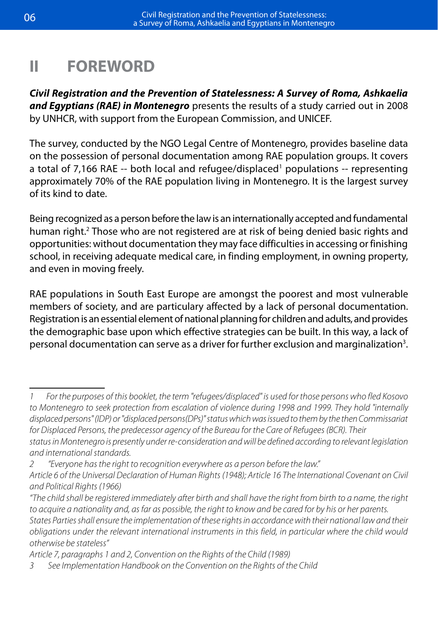### **II FOREWORD**

*Civil Registration and the Prevention of Statelessness: A Survey of Roma, Ashkaelia and Egyptians (RAE) in Montenegro* presents the results of a study carried out in 2008 by UNHCR, with support from the European Commission, and UNICEF.

The survey, conducted by the NGO Legal Centre of Montenegro, provides baseline data on the possession of personal documentation among RAE population groups. It covers a total of 7,166 RAE -- both local and refugee/displaced<sup>1</sup> populations -- representing approximately 70% of the RAE population living in Montenegro. It is the largest survey of its kind to date.

Being recognized as a person before the law is an internationally accepted and fundamental human right.<sup>2</sup> Those who are not registered are at risk of being denied basic rights and opportunities: without documentation they may face difficulties in accessing or finishing school, in receiving adequate medical care, in finding employment, in owning property, and even in moving freely.

RAE populations in South East Europe are amongst the poorest and most vulnerable members of society, and are particulary affected by a lack of personal documentation. Registration is an essential element of national planning for children and adults, and provides the demographic base upon which effective strategies can be built. In this way, a lack of personal documentation can serve as a driver for further exclusion and marginalization<sup>3</sup>.

*Article 7, paragraphs 1 and 2, Convention on the Rights of the Child (1989)* 

*<sup>1</sup> For the purposes of this booklet, the term "refugees/displaced" is used for those persons who fled Kosovo to Montenegro to seek protection from escalation of violence during 1998 and 1999. They hold "internally displaced persons" (IDP) or "displaced persons(DPs)" status which was issued to them by the then Commissariat for Displaced Persons, the predecessor agency of the Bureau for the Care of Refugees (BCR). Their status in Montenegro is presently under re-consideration and will be defined according to relevant legislation and international standards.*

*<sup>2 &</sup>quot;Everyone has the right to recognition everywhere as a person before the law."*

*Article 6 of the Universal Declaration of Human Rights (1948); Article 16 The International Covenant on Civil and Political Rights (1966)* 

*<sup>&</sup>quot;The child shall be registered immediately after birth and shall have the right from birth to a name, the right to acquire a nationality and, as far as possible, the right to know and be cared for by his or her parents. States Parties shall ensure the implementation of these rights in accordance with their national law and their obligations under the relevant international instruments in this field, in particular where the child would otherwise be stateless"*

*<sup>3</sup> See Implementation Handbook on the Convention on the Rights of the Child*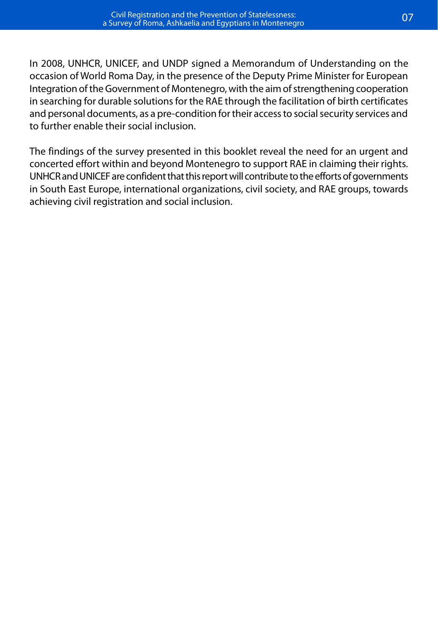In 2008, UNHCR, UNICEF, and UNDP signed a Memorandum of Understanding on the occasion of World Roma Day, in the presence of the Deputy Prime Minister for European Integration of the Government of Montenegro, with the aim of strengthening cooperation in searching for durable solutions for the RAE through the facilitation of birth certificates and personal documents, as a pre-condition for their access to social security services and to further enable their social inclusion.

The findings of the survey presented in this booklet reveal the need for an urgent and concerted effort within and beyond Montenegro to support RAE in claiming their rights. UNHCR and UNICEF are confident that this report will contribute to the efforts of governments in South East Europe, international organizations, civil society, and RAE groups, towards achieving civil registration and social inclusion.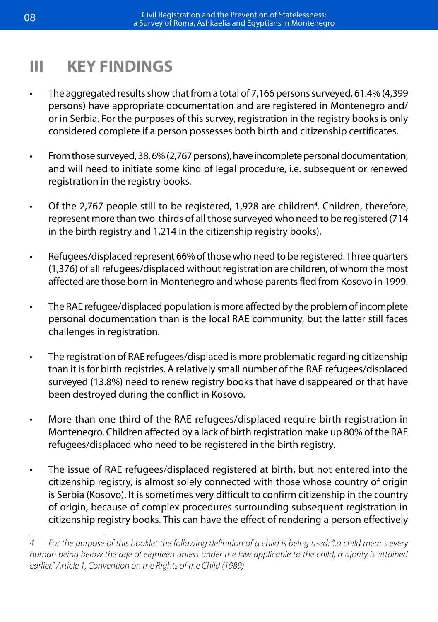# **III KEY FINDINGS**

- The aggregated results show that from a total of 7,166 persons surveyed, 61.4% (4,399 persons) have appropriate documentation and are registered in Montenegro and/ or in Serbia. For the purposes of this survey, registration in the registry books is only considered complete if a person possesses both birth and citizenship certificates.
- From those surveyed, 38.6% (2,767 persons), have incomplete personal documentation, and will need to initiate some kind of legal procedure, i.e. subsequent or renewed registration in the registry books.
- Of the 2,767 people still to be registered, 1,928 are children<sup>4</sup>. Children, therefore, represent more than two-thirds of all those surveyed who need to be registered (714 in the birth registry and 1,214 in the citizenship registry books).
- Refugees/displaced represent 66% of those who need to be registered. Three quarters (1,376) of all refugees/displaced without registration are children, of whom the most affected are those born in Montenegro and whose parents fled from Kosovo in 1999.
- The RAE refugee/displaced population is more affected by the problem of incomplete personal documentation than is the local RAE community, but the latter still faces challenges in registration.
- The registration of RAE refugees/displaced is more problematic regarding citizenship than it is for birth registries. A relatively small number of the RAE refugees/displaced surveyed (13.8%) need to renew registry books that have disappeared or that have been destroyed during the conflict in Kosovo.
- • More than one third of the RAE refugees/displaced require birth registration in Montenegro. Children affected by a lack of birth registration make up 80% of the RAE refugees/displaced who need to be registered in the birth registry.
- The issue of RAE refugees/displaced registered at birth, but not entered into the citizenship registry, is almost solely connected with those whose country of origin is Serbia (Kosovo). It is sometimes very difficult to confirm citizenship in the country of origin, because of complex procedures surrounding subsequent registration in citizenship registry books. This can have the effect of rendering a person effectively

*<sup>4</sup> For the purpose of this booklet the following definition of a child is being used: "..a child means every human being below the age of eighteen unless under the law applicable to the child, majority is attained earlier." Article 1, Convention on the Rights of the Child (1989)*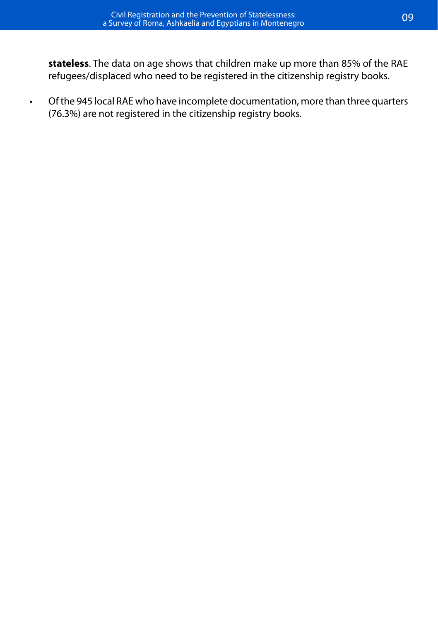**stateless**. The data on age shows that children make up more than 85% of the RAE refugees/displaced who need to be registered in the citizenship registry books.

• Of the 945 local RAE who have incomplete documentation, more than three quarters (76.3%) are not registered in the citizenship registry books.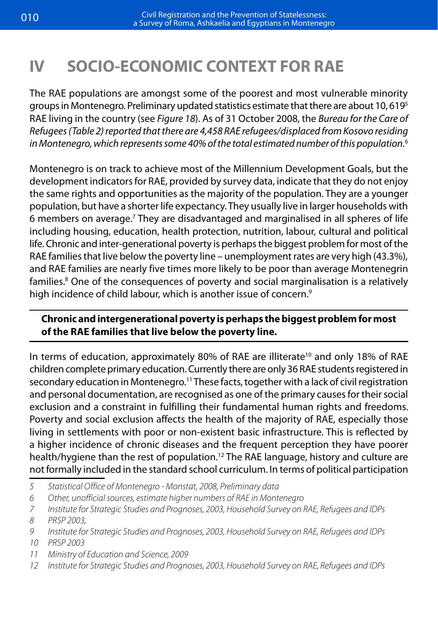# **IV SOCIO-ECONOMIC CONTEXT FOR RAE**

The RAE populations are amongst some of the poorest and most vulnerable minority groups in Montenegro. Preliminary updated statistics estimate that there are about 10, 6195 RAE living in the country (see *Figure 18*). As of 31 October 2008, the *Bureau for the Care of Refugees (Table 2) reported that there are 4,458 RAE refugees/displaced from Kosovo residing in Montenegro, which represents some 40% of the total estimated number of this population.*<sup>6</sup>

Montenegro is on track to achieve most of the Millennium Development Goals, but the development indicators for RAE, provided by survey data, indicate that they do not enjoy the same rights and opportunities as the majority of the population. They are a younger population, but have a shorter life expectancy. They usually live in larger households with 6 members on average.7 They are disadvantaged and marginalised in all spheres of life including housing, education, health protection, nutrition, labour, cultural and political life. Chronic and inter-generational poverty is perhaps the biggest problem for most of the RAE families that live below the poverty line – unemployment rates are very high (43.3%), and RAE families are nearly five times more likely to be poor than average Montenegrin families.8 One of the consequences of poverty and social marginalisation is a relatively high incidence of child labour, which is another issue of concern.<sup>9</sup>

#### **Chronic and intergenerational poverty is perhaps the biggest problem for most of the RAE families that live below the poverty line.**

In terms of education, approximately 80% of RAE are illiterate<sup>10</sup> and only 18% of RAE children complete primary education. Currently there are only 36 RAE students registered in secondary education in Montenegro.<sup>11</sup> These facts, together with a lack of civil registration and personal documentation, are recognised as one of the primary causes for their social exclusion and a constraint in fulfilling their fundamental human rights and freedoms. Poverty and social exclusion affects the health of the majority of RAE, especially those living in settlements with poor or non-existent basic infrastructure. This is reflected by a higher incidence of chronic diseases and the frequent perception they have poorer health/hygiene than the rest of population.<sup>12</sup> The RAE language, history and culture are not formally included in the standard school curriculum. In terms of political participation

- *5 Statistical Office of Montenegro Monstat, 2008, Preliminary data*
- *6 Other, unofficial sources, estimate higher numbers of RAE in Montenegro*
- *7 Institute for Strategic Studies and Prognoses, 2003, Household Survey on RAE, Refugees and IDPs 8 PRSP 2003,*
- *9 Institute for Strategic Studies and Prognoses, 2003, Household Survey on RAE, Refugees and IDPs 10 PRSP 2003*
- *11 Ministry of Education and Science, 2009*
- *12 Institute for Strategic Studies and Prognoses, 2003, Household Survey on RAE, Refugees and IDPs*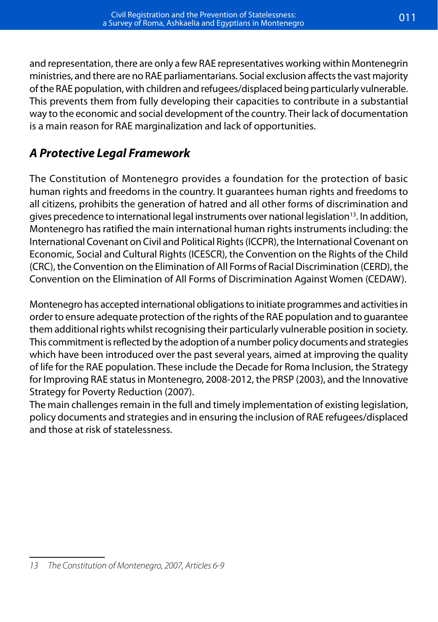and representation, there are only a few RAE representatives working within Montenegrin ministries, and there are no RAE parliamentarians. Social exclusion affects the vast majority of the RAE population, with children and refugees/displaced being particularly vulnerable. This prevents them from fully developing their capacities to contribute in a substantial way to the economic and social development of the country. Their lack of documentation is a main reason for RAE marginalization and lack of opportunities.

### *A Protective Legal Framework*

The Constitution of Montenegro provides a foundation for the protection of basic human rights and freedoms in the country. It guarantees human rights and freedoms to all citizens, prohibits the generation of hatred and all other forms of discrimination and gives precedence to international legal instruments over national legislation<sup>13</sup>. In addition, Montenegro has ratified the main international human rights instruments including: the International Covenant on Civil and Political Rights (ICCPR), the International Covenant on Economic, Social and Cultural Rights (ICESCR), the Convention on the Rights of the Child (CRC), the Convention on the Elimination of All Forms of Racial Discrimination (CERD), the Convention on the Elimination of All Forms of Discrimination Against Women (CEDAW).

Montenegro has accepted international obligations to initiate programmes and activities in order to ensure adequate protection of the rights of the RAE population and to guarantee them additional rights whilst recognising their particularly vulnerable position in society. This commitment is reflected by the adoption of a number policy documents and strategies which have been introduced over the past several years, aimed at improving the quality of life for the RAE population. These include the Decade for Roma Inclusion, the Strategy for Improving RAE status in Montenegro, 2008-2012, the PRSP (2003), and the Innovative Strategy for Poverty Reduction (2007).

The main challenges remain in the full and timely implementation of existing legislation, policy documents and strategies and in ensuring the inclusion of RAE refugees/displaced and those at risk of statelessness.

*<sup>13</sup> The Constitution of Montenegro, 2007, Articles 6-9*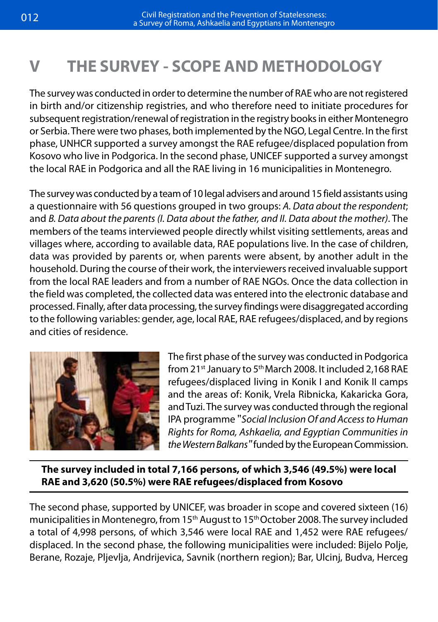# **V THE SURVEY - SCOPE AND METHODOLOGY**

The survey was conducted in order to determine the number of RAE who are not registered in birth and/or citizenship registries, and who therefore need to initiate procedures for subsequent registration/renewal of registration in the registry books in either Montenegro or Serbia. There were two phases, both implemented by the NGO, Legal Centre. In the first phase, UNHCR supported a survey amongst the RAE refugee/displaced population from Kosovo who live in Podgorica. In the second phase, UNICEF supported a survey amongst the local RAE in Podgorica and all the RAE living in 16 municipalities in Montenegro.

The survey was conducted by a team of 10 legal advisers and around 15 field assistants using a questionnaire with 56 questions grouped in two groups: *A. Data about the respondent*; and *B. Data about the parents (I. Data about the father, and II. Data about the mother)*. The members of the teams interviewed people directly whilst visiting settlements, areas and villages where, according to available data, RAE populations live. In the case of children, data was provided by parents or, when parents were absent, by another adult in the household. During the course of their work, the interviewers received invaluable support from the local RAE leaders and from a number of RAE NGOs. Once the data collection in the field was completed, the collected data was entered into the electronic database and processed. Finally, after data processing, the survey findings were disaggregated according to the following variables: gender, age, local RAE, RAE refugees/displaced, and by regions and cities of residence.



The first phase of the survey was conducted in Podgorica from 21<sup>st</sup> January to 5<sup>th</sup> March 2008. It included 2,168 RAE refugees/displaced living in Konik I and Konik II camps and the areas of: Konik, Vrela Ribnicka, Kakaricka Gora, and Tuzi. The survey was conducted through the regional IPA programme "*Social Inclusion Of and Access to Human Rights for Roma, Ashkaelia, and Egyptian Communities in the Western Balkans"* funded by the European Commission.

**The survey included in total 7,166 persons, of which 3,546 (49.5%) were local RAE and 3,620 (50.5%) were RAE refugees/displaced from Kosovo**

The second phase, supported by UNICEF, was broader in scope and covered sixteen (16) municipalities in Montenegro, from 15<sup>th</sup> August to 15<sup>th</sup> October 2008. The survey included a total of 4,998 persons, of which 3,546 were local RAE and 1,452 were RAE refugees/ displaced. In the second phase, the following municipalities were included: Bijelo Polje, Berane, Rozaje, Pljevlja, Andrijevica, Savnik (northern region); Bar, Ulcinj, Budva, Herceg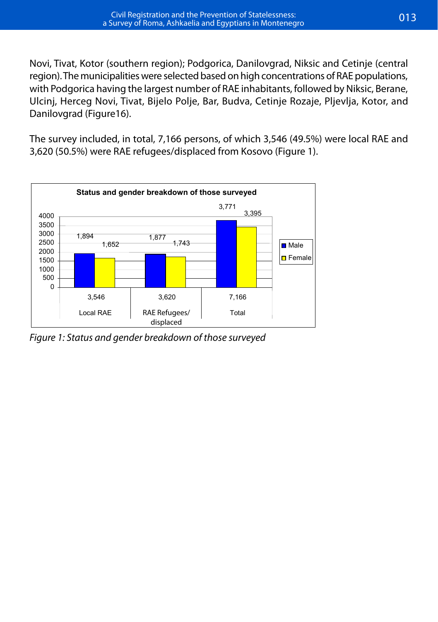Novi, Tivat, Kotor (southern region); Podgorica, Danilovgrad, Niksic and Cetinje (central region). The municipalities were selected based on high concentrations of RAE populations, with Podgorica having the largest number of RAE inhabitants, followed by Niksic, Berane, Ulcinj, Herceg Novi, Tivat, Bijelo Polje, Bar, Budva, Cetinje Rozaje, Pljevlja, Kotor, and Danilovgrad (Figure16).

The survey included, in total, 7,166 persons, of which 3,546 (49.5%) were local RAE and 3,620 (50.5%) were RAE refugees/displaced from Kosovo (Figure 1).



*Figure 1: Status and gender breakdown of those surveyed Figure 1: Status and gender breakdown of those surveyed*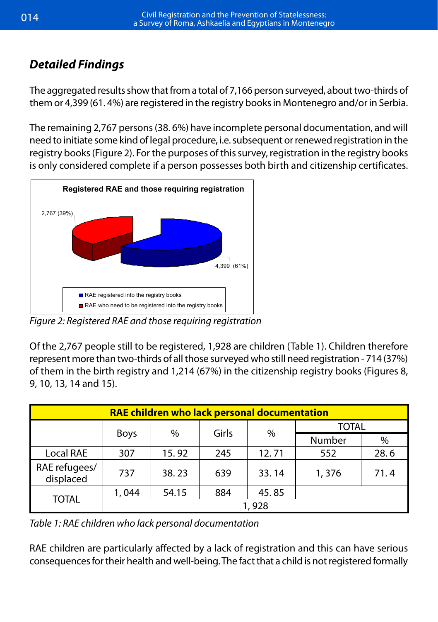# *Detailed Findings Detailed Findings*

The aggregated results show that from a total of 7,166 person surveyed, about two-thirds of The aggregated results show that from a total of 7,166 person surveyed, about two-thirds of them or 4,399 (61. 4%) are registered in the registry books in Montenegro and/or in Serbia. them or 4,399 (61. 4%) are registered in the registry books in Montenegro and/or in Serbia.

The remaining 2,767 persons (38. 6%) have incomplete personal documentation, and will The remaining 2,767 persons (38. 6%) have incomplete personal documentation, and will need to initiate some kind of legal procedure, i.e. subsequent or renewed registration in the registry books (Figure 2). For the purposes of this survey, registration in the registry books is only considered complete if a person possesses both birth and citizenship certificates. need to the term of the some kind of legal procedure, i.e. subsequent of the registration in the registration in the subsequent of the south of the south of the south of the south of the south of the south of the south of



Local RAE RAE Refugees Total

*Figure 2: Registered RAE and those requiring registration Figure 2: Registered RAE and those requiring registration*

Of the 2,767 people still to be registered, 1,928 are children (*Table 1*). Children therefore Of the 2,767 people still to be registered, 1,928 are children (Table 1). Children therefore or the z<sub>1</sub>, or people sun to be registered, 1,920 are enhancil nable 1, enhancirepresent more than two-thirds of all those surveyed who still need registration - 714 (37%) *13, 14 and 15*). of them in the birth registry and 1,214 (67%) in the citizenship registry books (Figures 8, 9, 10, 13, 14 and 15).

| RAE children who lack personal documentation |                                      |       |              |       |        |      |
|----------------------------------------------|--------------------------------------|-------|--------------|-------|--------|------|
|                                              | Girls<br>$\%$<br>$\%$<br><b>Boys</b> |       | <b>TOTAL</b> |       |        |      |
|                                              |                                      |       |              |       | Number | $\%$ |
| Local RAE                                    | 307                                  | 15.92 | 245          | 12.71 | 552    | 28.6 |
| RAE refugees/<br>displaced                   | 737                                  | 38.23 | 639          | 33.14 | 1,376  | 71.4 |
| <b>TOTAL</b>                                 | 1,044                                | 54.15 | 884          | 45.85 |        |      |
|                                              | 1,928                                |       |              |       |        |      |

*Table 1: RAE children who lack personal documentation*

RAE children are particularly affected by a lack of registration and this can have serious consequences for their health and well-being. The fact that a child is not registered formally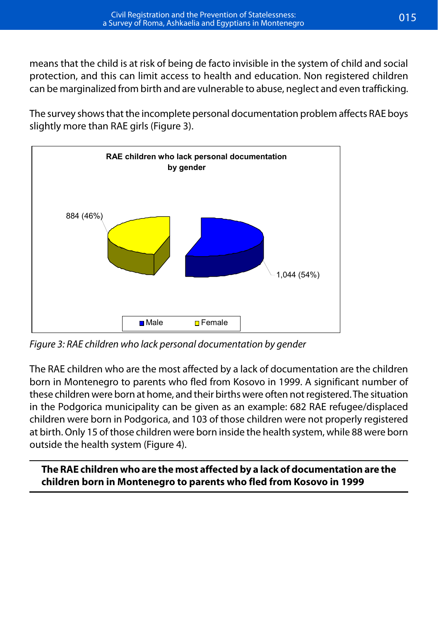means that the child is at risk of being de facto invisible in the system of child and social protection, and this can limit access to health and education. Non registered children can be marginalized from birth and are vulnerable to abuse, neglect and even trafficking. marginalized from birth and are vulnerable to abuse, neglect and even trafficking. means that the child is at risk of being *de facto* invisible in the system of child and social means that the child is at risk of being de facto invisible in the system of child and social<br>Acception can be described and education can be described and education. Non registered at the can

The survey shows that the incomplete personal documentation problem affects RAE boys The survey shows that the incomplete personal documentation problem affects RAE boys slightly more than RAE girls (Figure 3). slightly more than RAE girls *(Figure 3).* 



*Figure 3: RAE children who lack personal documentation by gender Figure 3: RAE children who lack personal documentation by gender*

The RAE children who are the most affected by a The RAE children who are the most affected by a lack of documentation are the children born in Montenegro to parents who fled from Kosovo in 1999. A significant number of these children were born at nome, and their births were often not registered. The situation<br>in the Podgorica municipality can be given as an example: 682 RAE refugee/displaced in the Fodgorica mumcipality can be given as an example. 062 KAL rengee/uisplaced<br>children were born in Podgorica, and 103 of those children were not properly registered ematen were born in Fodgonea, and 105 of those emiaten were not propeny registered<br>at birth. Only 15 of those children were born inside the health system, while 88 were born registered. The situation is the positive that  $\mathcal{L}$  is the Podgorical contribution in the Podgorical contribution in the positive set of  $\mathcal{L}$ municipality can be given as an example: 682 RAE these children were born at home, and their births were often not registered. The situation outside the health system (Figure 4).

The RAE children who are the most affected by a lack of documentation are the children born in Montenegro to parents who fled from Kosovo in 1999

birth. Only 15 of the those children were born inside the those children were born inside the those children w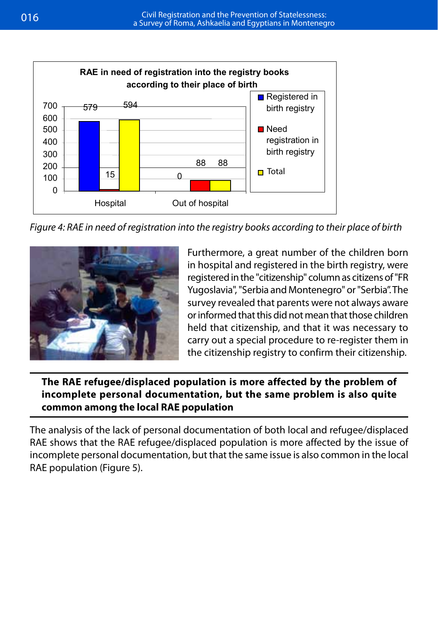

*Figure 4: RAE in need of registration into the registry books according to their place of birth Figure 4: RAE in need of registration into the registry books according to their place of birth*



Furthermore, a great number of the children born<br>in hospital and registered in the birth registry, were registered in the "citizenship" column as citizens of "FR" registered in the "citizenship" column as citizens of "FR and Montenegro" or "Serbia". The survey revealed that parents were not always aware or "Serbia". The informed that parents were not always aware or informed that this did not mean that those children Furthermore, a great number of the children born held that citizenship, and that it was necessary to carry out a special procedure to re-register them in the citizenship registry to confirm their citizenship.

### The RAE refugee/displaced population is more affected by the problem of incomplete personal documentation, but the same problem is also quite **common among the local RAE population**

The analysis of the lack of personal documentation of both local and refugee/displaced **among the local RAE population** RAE shows that the RAE refugee/displaced population is more affected by the issue of incomplete personal documentation, but that the same issue is also common in the local RAE population (Figure 5).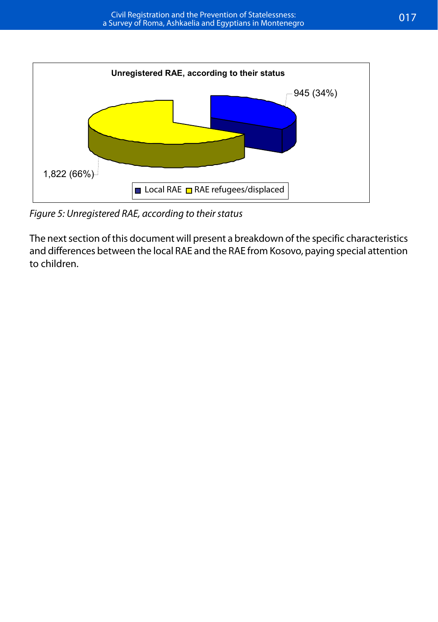

*Figure 5: Unregistered RAE, according to their status Figure 5: Unregistered RAE, according to their status*

and differences between the local RAE and the RAE from Kosovo, paying special attention<br>to children  $\alpha$  differences between the local RAE from Kosovo, paying special attention to  $\alpha$ The next section of this document will present a breakdown of the specific characteristics to children.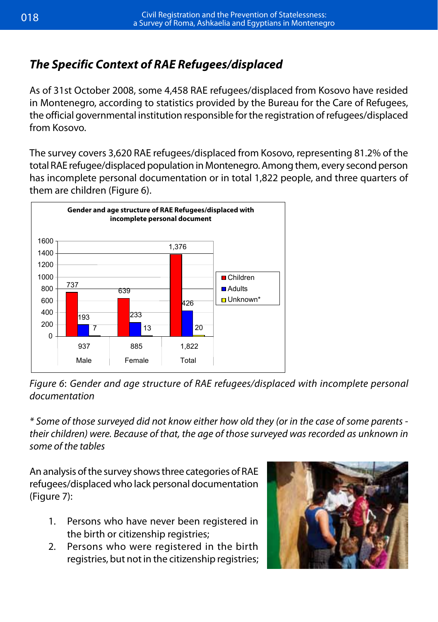### *The Specific Context of RAE Refugees/displaced*

As of 31st October 2008, some 4,458 RAE refugees/displaced from Kosovo have resided in Montenegro, according to statistics provided by the Bureau for the Care of Refugees, the official governmental institution responsible for the registration of refugees/displaced from Kosovo. **Official governmental institution registration registration registration registration of refugees from Kosovo.** *The Specific Context of RAE Refugees* 

The survey covers 3,620 RAE refugees/displaced from Kosovo, representing 81.2% of the total RAE refugee/displaced population in Montenegro. Among them, every second person personal documentation or in total 1,822 people, and three quarters of has incomplete personal documentation or in total 1,822 people, and three quarters of them are children (Figure 6). (*Figure 6*).



Figure 6: Gender and age structure of RAE refugees/displaced with incomplete personal  $A \sim \frac{1}{2}$ *documentation*

\* Some of those surveyed did not know either how old they (or in the case of some parents their children) were. Because of that, the age of those surveyed was recorded as unknown in  $\emph{some of the tables}$ 

An analysis of the survey shows three categories of RAE refugees/displaced who lack personal documentation but whose books have been destroyed or disappeared  $\ddot{\phantom{a}}$ (Figure 7):

- 1. Persons who have never been registered in the birth or citizenship registries;
- 2. Persons who were registered in the birth registries, but not in the citizenship registries;

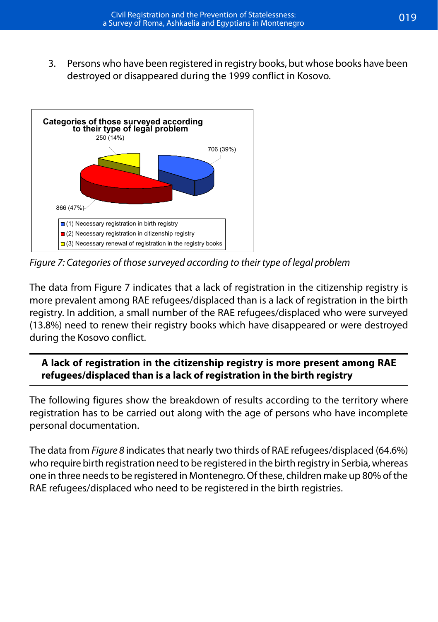3. Persons who have been registered in registry books, but whose books have been destroyed or disappeared during the 1999 conflict in Kosovo.



*Figure 7: Categories of those surveyed according to their type of legal problem Figure 7: Categories of those surveyed according to their type of legal problem*

The data from Figure 7 indicates that a lack of registration in the citizenship registry is more prevalent among RAE refugees/displaced than is a lack of registration in the birth a small number of the RAE refugees who were surveyed (13.8%) number of the RAE registry  $\alpha$  registry registry  $\alpha$ registry. In addition, a small number of the RAE refugees/displaced who were surveyed **Box 5**  during the Kosovo conflict. (13.8%) need to renew their registry books which have disappeared or were destroyed

#### **A lack of registration in the citizenship registry is more present among RAE A lack of registration in the citizenship registry is more present among RAE refugees than is a lack of registration in refugees/displaced than is a lack of registration in the birth registry the birth registry**

personal documentation. The breakdown of results according to the territory where territory where territory where the territory where the territory where the territory where the territory where the territory where the terr The following figures show the breakdown of results according to the territory where registration has to be carried out along with the age of persons who have incomplete

The data from *Figure 8* indicates that nearly two thirds of RAE refugees/displaced (64.6%) who require birth registration need to be registered in the birth registry in Serbia, whereas one in three needs to be registered in Montenegro. Of these, children make up 80% of the RAE refugees/displaced who need to be registered in the birth registries.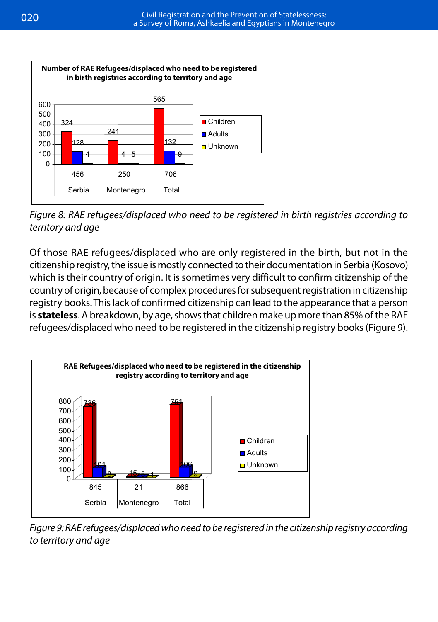

Figure 8: RAE refugees/displaced who need to be registered in birth registries according to *and age territory and age*

Of those RAE refugees/displaced who are only registered in the birth, but not in the citizenship registry, the issue is mostly connected to their documentation in Serbia (Kosovo) entrefugion by the issue is mostly confidence to their documentation in Serbia (hosovo) which is their country of origin. It is sometimes very difficult to confirm citizenship of the which is their country of origin. It is sometimes very dimedit to commit citizenship or the country of origin, because of complex procedures for subsequent registration in citizenship registry books. This lack of confirmed citizenship can lead to the appearance that a person is **stateless**. A breakdown, by age, shows that children make up more than 85% of the RAE refugees/displaced who need to be registered in the citizenship registry books (Figure 9). country of origin, because of complex procedures for subsequent registration in citizenship



Figure 9: RAE refugees/displaced who need to be registered in the citizenship registry according *territory and age to territory and age*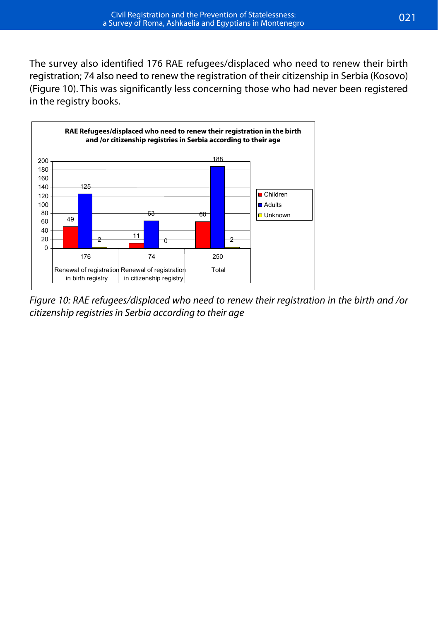The survey also identified 176 RAE refugees/displaced who need to renew their birth registration; 74 also need to renew the registration of their citizenship in Serbia (Kosovo)<br>(Figure 186 RH (Figure 10). This was significantly less concerning those who had never been registered in the registry books. Was significantly less concerning those who had never been registered in the register



Figure 10: RAE refugees/displaced who need to renew their registration in the birth and /or *registries in Serbia according to their age citizenship registries in Serbia according to their age*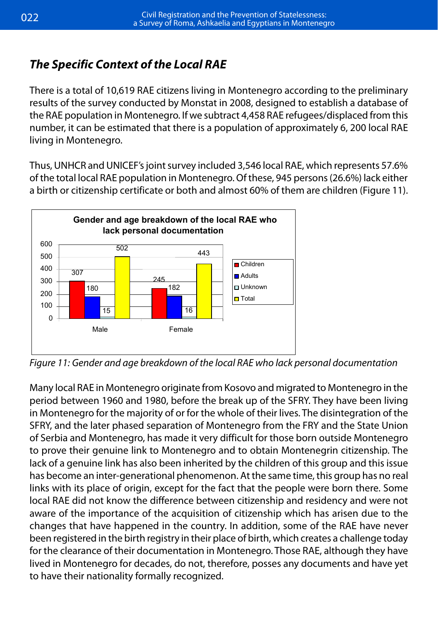### *The Specific Context of the Local RAE*

There is a total of 10,619 RAE citizens living in Montenegro according to the preliminary results of the survey conducted by Monstat in 2008, designed to establish a database of the RAE population in Montenegro. If we subtract 4,458 RAE refugees/displaced from this number, it can be estimated that there is a population of approximately 6, 200 local RAE living in Montenegro. That there is a population of approximately 6, 200 local RAE living in Montenegro. mong man

Thus, UNHCR and UNICEF's joint survey included 3,546 local RAE, which represents 57.6% Thus, UNHCR and UNICEF's joint survey included 3,546 local RAE, which represents of the total local RAE population in Montenegro. Of these, 945 persons (26.6%) lack either a birth or citizenship certificate or both and almost 60% of them are children (Figure 11).



*Figure 11: Gender and age breakdown of the local RAE who lack personal documentation Figure 11: Gender and age breakdown of the local RAE who lack personal documentation*

Many local RAE in Montenegro originate from Kosovo and migrated to Montenegro in the Many local RAE in Montenegro originate from Kosovo and migrated to Montenegro in the period between 1960 and 1980, before the break up of the SFRY. They have been living Montenegro for the majority of or for the whole of their lives. The disintegration of the in Montenegro for the majority of or for the whole of their lives. The disintegration of the SFRY, and the later phase of Montenegro from the FRY and the State Union of Montenegro from the State Union of Montenegro from the State Union of Montenegro from the State Union of Montenegro from the State Union of Decemb SFRY, and the later phased separation of Montenegro from the FRY and the State Union of Serbia and Montenegro, has made it very difficult for those born outside Montenegro to prove their genuine link to Montenegro and to obtain Montenegrin citizenship. The lack of a genuine link has also been inherited by the children of this group and this issue has become an inter-generational phenomenon. At the same time, this group has no real links with its place of origin, except for the fact that the people were born there. Some accursive  $\alpha$  constant  $\alpha$  constant  $\alpha$  constant  $\alpha$  changes that has are changes that have happened in the changes that happened in the changes that have  $\alpha$ local RAE did not know the difference between citizenship and residency and were not aware of the importance of the acquisition of citizenship which has arisen due to the changes that have happened in the country. In addition, some of the RAE have never been registered in the birth registry in their place of birth, which creates a challenge today **Box 6**  lived in Montenegro for decades, do not, therefore, posses any documents and have yet to have their nationality formally recognized. **originate from Kosovo and migrated**  for the clearance of their documentation in Montenegro. Those RAE, although they have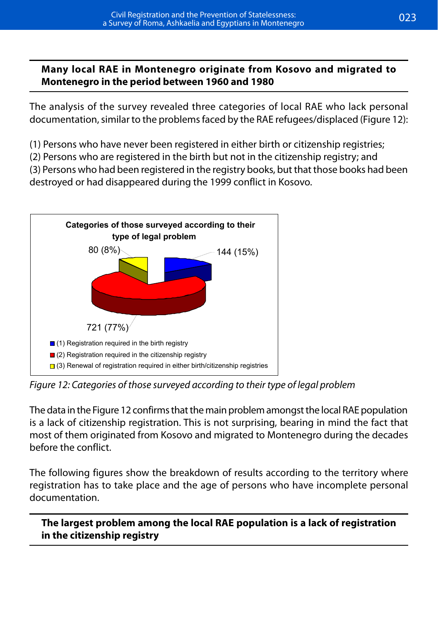#### **Many local RAE in Montenegro originate from Kosovo and migrated to Montenegro in the period between 1960 and 1980**

The analysis of the survey revealed three categories of local RAE who lack personal documentation, similar to the problems faced by the RAE refugees/displaced (Figure 12):

(1) Persons who have never been registered in either birth or citizenship registries;

(2) Persons who are registered in the birth but not in the citizenship registry; and

(3) Persons who had been registered in the registry books, but that those books had been destroyed or had disappeared during the 1999 conflict in Kosovo.



*Figure 12: Categories of those surveyed according to their type of legal problem Figure 12: Categories of those surveyed according to their type of legal problem*

The data in the *Figure 12* confirms that the main problem amongst the local RAE population The data in the Figure 12 confirms that the main problem amongst the local RAE population is a lack of citizenship registration. This is not surprising, bearing in mind the fact that most of them originated from Kosovo and migrated to Montenegro during the decades before the conflict.

The following figures show the breakdown of results according to the territory where The following figures show the breakdown of results according to the territory where registration has to take place and the age of persons who have incomplete personal documentation.

**Box 7 The largest problem among the local RAE The largest problem among the local RAE population is a lack of registration population is a lack of registration in the in the citizenship registrycitizenship registry**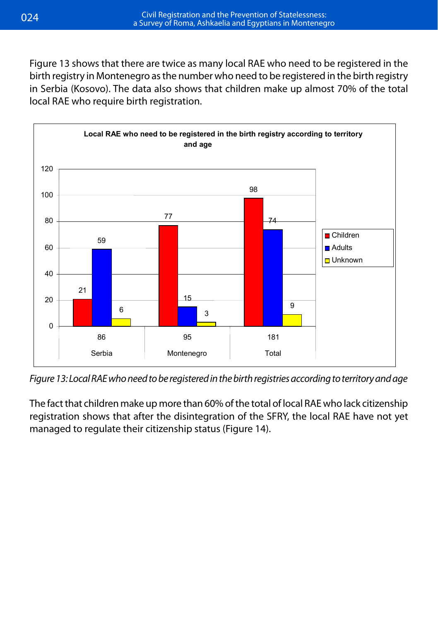Figure 13 shows that there are twice as many local RAE who need to be registered in the birth registry in Montenegro as the number who need to be registered in the birth registry in Serbia (Kosovo). The data also shows that children make up almost 70% of the total local RAE who require birth registration.



*Figure 13: Local RAE who need to be registered in the birth registries according to territory and age*

*Figure 13: Local RAE who need to be registered in the birth registries according to territory*  The fact that children make up more than 60% of the total of local RAE who lack citizenship *and age*  registration shows that after the disintegration of the SFRY, the local RAE have not yet managed to regulate their citizenship status (Figure 14).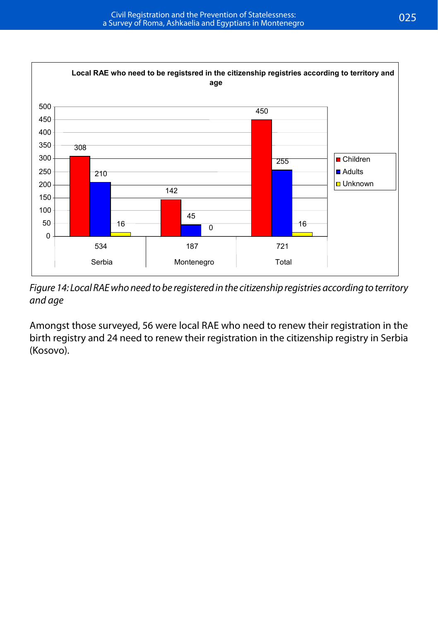

*Figure 14: Local RAE who need to be registered in the citizenship registered in the citizenship registered in the citizenship registries according to*  $\mathcal{F}$  *registries according to*  $\mathcal{F}$  *registries according to \mathcal Figure 14: Local RAE who need to be registered in the citizenship registries according to territory and age*

*territory and age* Amongst those surveyed, 56 were local RAE who need to renew their registration in the birth registry and 24 need to renew their registration in the citizenship registry in Serbia<br>(Kosovo) registry and 24 need to renew their registration in the citizenship registry in Serbia (Kosovo). (Kosovo).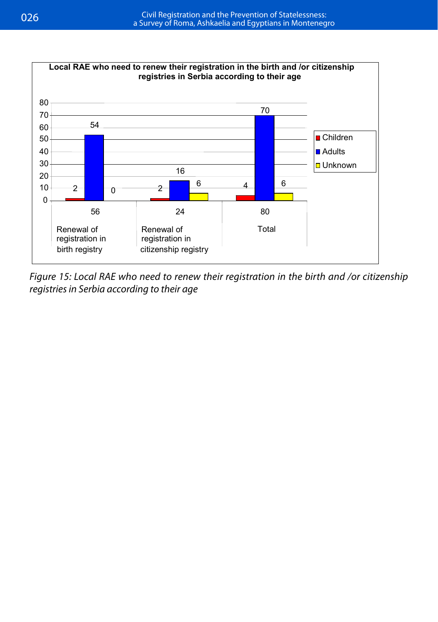

*Figure 15: Local RAE who need to renew their registration in the birth and /or citizenship registries in Serbia according to their age*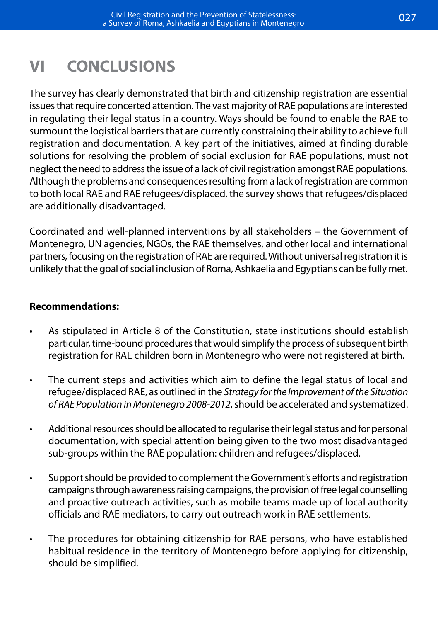# **VI CONCLUSIONS**

The survey has clearly demonstrated that birth and citizenship registration are essential issues that require concerted attention. The vast majority of RAE populations are interested in regulating their legal status in a country. Ways should be found to enable the RAE to surmount the logistical barriers that are currently constraining their ability to achieve full registration and documentation. A key part of the initiatives, aimed at finding durable solutions for resolving the problem of social exclusion for RAE populations, must not neglect the need to address the issue of a lack of civil registration amongst RAE populations. Although the problems and consequences resulting from a lack of registration are common to both local RAE and RAE refugees/displaced, the survey shows that refugees/displaced are additionally disadvantaged.

Coordinated and well-planned interventions by all stakeholders – the Government of Montenegro, UN agencies, NGOs, the RAE themselves, and other local and international partners, focusing on the registration of RAE are required. Without universal registration it is unlikely that the goal of social inclusion of Roma, Ashkaelia and Egyptians can be fully met.

#### **Recommendations:**

- As stipulated in Article 8 of the Constitution, state institutions should establish particular, time-bound procedures that would simplify the process of subsequent birth registration for RAE children born in Montenegro who were not registered at birth.
- The current steps and activities which aim to define the legal status of local and refugee/displaced RAE, as outlined in the *Strategy for the Improvement of the Situation of RAE Population in Montenegro 2008-2012*, should be accelerated and systematized.
- Additional resources should be allocated to regularise their legal status and for personal documentation, with special attention being given to the two most disadvantaged sub-groups within the RAE population: children and refugees/displaced.
- • Support should be provided to complement the Government's efforts and registration campaigns through awareness raising campaigns, the provision of free legal counselling and proactive outreach activities, such as mobile teams made up of local authority officials and RAE mediators, to carry out outreach work in RAE settlements.
- The procedures for obtaining citizenship for RAE persons, who have established habitual residence in the territory of Montenegro before applying for citizenship, should be simplified.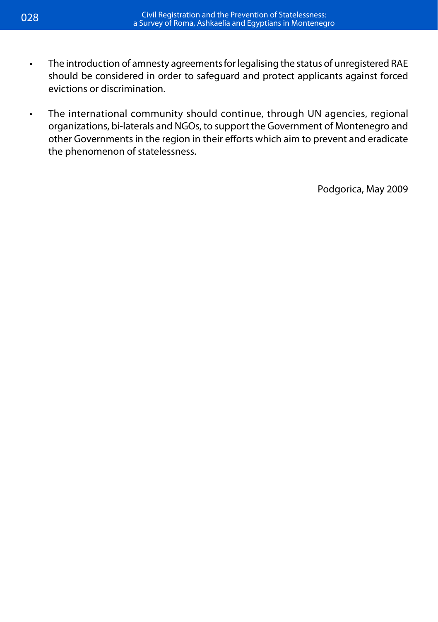- The introduction of amnesty agreements for legalising the status of unregistered RAE should be considered in order to safeguard and protect applicants against forced evictions or discrimination.
- The international community should continue, through UN agencies, regional organizations, bi-laterals and NGOs, to support the Government of Montenegro and other Governments in the region in their efforts which aim to prevent and eradicate the phenomenon of statelessness.

Podgorica, May 2009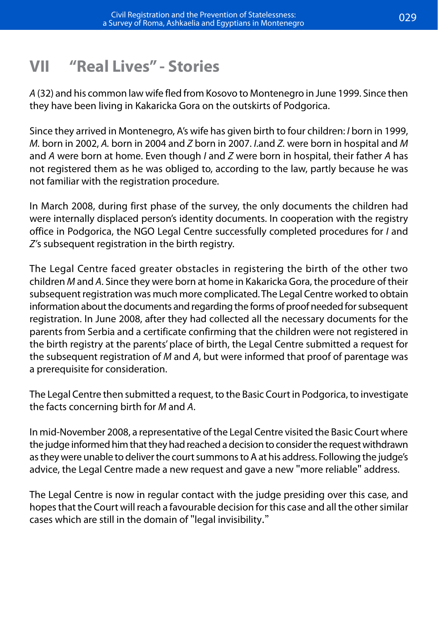## **VII "Real Lives" - Stories**

*A* (32) and his common law wife fled from Kosovo to Montenegro in June 1999. Since then they have been living in Kakaricka Gora on the outskirts of Podgorica.

Since they arrived in Montenegro, A's wife has given birth to four children: *I* born in 1999, *M.* born in 2002, *A.* born in 2004 and *Z* born in 2007. *I*.and *Z.* were born in hospital and *M* and *A* were born at home. Even though *I* and *Z* were born in hospital, their father *A* has not registered them as he was obliged to, according to the law, partly because he was not familiar with the registration procedure.

In March 2008, during first phase of the survey, the only documents the children had were internally displaced person's identity documents. In cooperation with the registry office in Podgorica, the NGO Legal Centre successfully completed procedures for *I* and *Z'*s subsequent registration in the birth registry.

The Legal Centre faced greater obstacles in registering the birth of the other two children *M* and *A*. Since they were born at home in Kakaricka Gora, the procedure of their subsequent registration was much more complicated. The Legal Centre worked to obtain information about the documents and regarding the forms of proof needed for subsequent registration. In June 2008, after they had collected all the necessary documents for the parents from Serbia and a certificate confirming that the children were not registered in the birth registry at the parents' place of birth, the Legal Centre submitted a request for the subsequent registration of *M* and *A*, but were informed that proof of parentage was a prerequisite for consideration.

The Legal Centre then submitted a request, to the Basic Court in Podgorica, to investigate the facts concerning birth for *M* and *A*.

In mid-November 2008, a representative of the Legal Centre visited the Basic Court where the judge informed him that they had reached a decision to consider the request withdrawn as they were unable to deliver the court summons to A at his address. Following the judge's advice, the Legal Centre made a new request and gave a new "more reliable" address.

The Legal Centre is now in regular contact with the judge presiding over this case, and hopes that the Court will reach a favourable decision for this case and all the other similar cases which are still in the domain of "legal invisibility."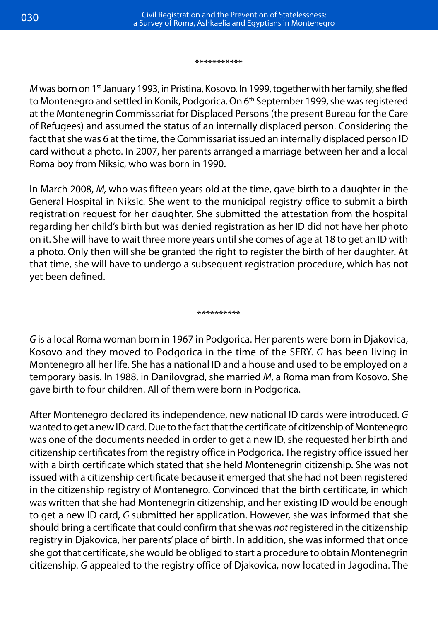#### \*\*\*\*\*\*\*\*\*\*\*

*M* was born on 1<sup>st</sup> January 1993, in Pristina, Kosovo. In 1999, together with her family, she fled to Montenegro and settled in Konik, Podgorica. On 6<sup>th</sup> September 1999, she was registered at the Montenegrin Commissariat for Displaced Persons (the present Bureau for the Care of Refugees) and assumed the status of an internally displaced person. Considering the fact that she was 6 at the time, the Commissariat issued an internally displaced person ID card without a photo. In 2007, her parents arranged a marriage between her and a local Roma boy from Niksic, who was born in 1990.

In March 2008, *M,* who was fifteen years old at the time, gave birth to a daughter in the General Hospital in Niksic. She went to the municipal registry office to submit a birth registration request for her daughter. She submitted the attestation from the hospital regarding her child's birth but was denied registration as her ID did not have her photo on it. She will have to wait three more years until she comes of age at 18 to get an ID with a photo. Only then will she be granted the right to register the birth of her daughter. At that time, she will have to undergo a subsequent registration procedure, which has not yet been defined.

\*\*\*\*\*\*\*\*\*

*G* is a local Roma woman born in 1967 in Podgorica. Her parents were born in Djakovica, Kosovo and they moved to Podgorica in the time of the SFRY. *G* has been living in Montenegro all her life. She has a national ID and a house and used to be employed on a temporary basis. In 1988, in Danilovgrad, she married *M*, a Roma man from Kosovo. She gave birth to four children. All of them were born in Podgorica.

After Montenegro declared its independence, new national ID cards were introduced. *G* wanted to get a new ID card. Due to the fact that the certificate of citizenship of Montenegro was one of the documents needed in order to get a new ID, she requested her birth and citizenship certificates from the registry office in Podgorica. The registry office issued her with a birth certificate which stated that she held Montenegrin citizenship. She was not issued with a citizenship certificate because it emerged that she had not been registered in the citizenship registry of Montenegro. Convinced that the birth certificate, in which was written that she had Montenegrin citizenship, and her existing ID would be enough to get a new ID card, *G* submitted her application. However, she was informed that she should bring a certificate that could confirm that she was *not* registered in the citizenship registry in Djakovica, her parents' place of birth. In addition, she was informed that once she got that certificate, she would be obliged to start a procedure to obtain Montenegrin citizenship. *G* appealed to the registry office of Djakovica, now located in Jagodina. The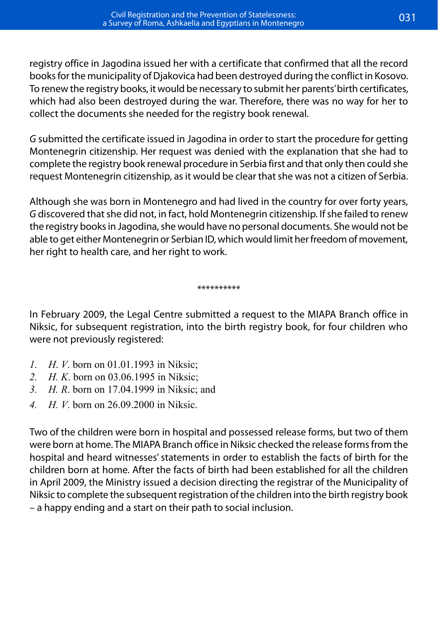registry office in Jagodina issued her with a certificate that confirmed that all the record books for the municipality of Djakovica had been destroyed during the conflict in Kosovo. To renew the registry books, it would be necessary to submit her parents' birth certificates, which had also been destroyed during the war. Therefore, there was no way for her to collect the documents she needed for the registry book renewal.

*G* submitted the certificate issued in Jagodina in order to start the procedure for getting Montenegrin citizenship. Her request was denied with the explanation that she had to complete the registry book renewal procedure in Serbia first and that only then could she request Montenegrin citizenship, as it would be clear that she was not a citizen of Serbia.

Although she was born in Montenegro and had lived in the country for over forty years, *G* discovered that she did not, in fact, hold Montenegrin citizenship. If she failed to renew the registry books in Jagodina, she would have no personal documents. She would not be able to get either Montenegrin or Serbian ID, which would limit her freedom of movement, her right to health care, and her right to work.

#### \*\*\*\*\*\*\*\*\*

In February 2009, the Legal Centre submitted a request to the MIAPA Branch office in Niksic, for subsequent registration, into the birth registry book, for four children who were not previously registered:

- *1. H*. *V*. born on 01.01.1993 in Niksic;
- *2. H. K*. born on 03.06.1995 in Niksic;
- *3. H. R*. born on 17.04.1999 in Niksic; and
- *4. H. V*. born on 26.09.2000 in Niksic.

Two of the children were born in hospital and possessed release forms, but two of them were born at home. The MIAPA Branch office in Niksic checked the release forms from the hospital and heard witnesses' statements in order to establish the facts of birth for the children born at home. After the facts of birth had been established for all the children in April 2009, the Ministry issued a decision directing the registrar of the Municipality of Niksic to complete the subsequent registration of the children into the birth registry book – a happy ending and a start on their path to social inclusion.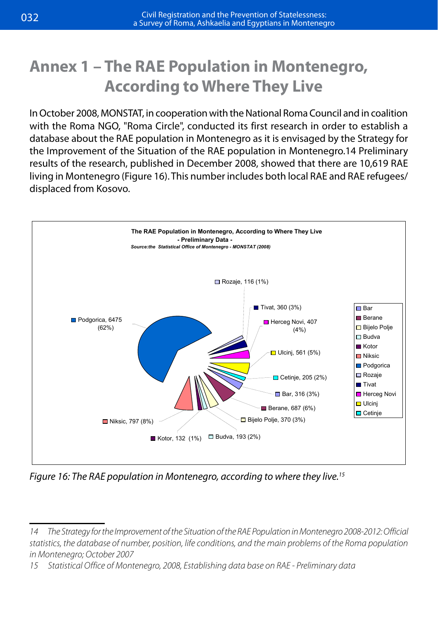## **Annex 1 – The RAE Population in Montenegro, According to Where They Live**

In October 2008, MONSTAT, in cooperation with the National Roma Council and in coalition *An* October 2000, MONSTAT, in cooperation with the National Norna Council and in Coalition in Whene They are  $\alpha$  with the Roma NGO, "Roma Circle", conducted its first research in order to establish a database about the RAE population in Montenegro as it is envisaged by the Strategy for the Improvement of the Situation of the RAE population in Montenegro.14 Preliminary results of the research, published in December 2008, showed that there are 10,619 RAE living in Montenegro (Figure 16). This number includes both local RAE and RAE refugees/ displaced from Kosovo. **Prefixition** in December 2008, showed that the research in December 2008, showed that the *Live*



*Figure 16: The RAE population in Montenegro, according to where they live.15*

*<sup>14</sup> The Strategy for the Improvement of the Situation of the RAE Population in Montenegro 2008-2012: Official statistics, the database of number, position, life conditions, and the main problems of the Roma population in Montenegro; October 2007* 

*<sup>15</sup> Statistical Office of Montenegro, 2008, Establishing data base on RAE - Preliminary data*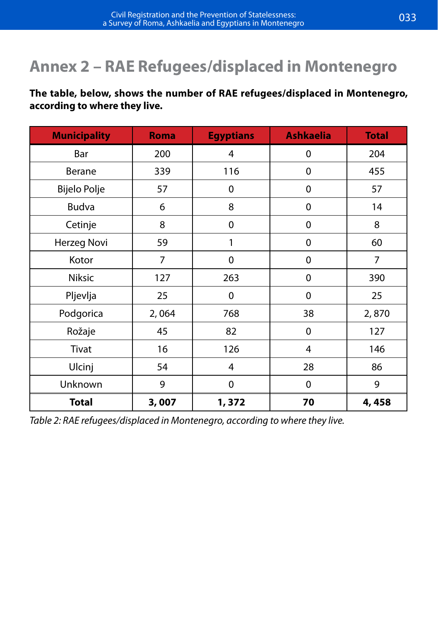# **Annex 2 – RAE Refugees/displaced in Montenegro**

#### **The table, below, shows the number of RAE refugees/displaced in Montenegro, according to where they live.**

| <b>Municipality</b> | <b>Roma</b> | <b>Egyptians</b> | <b>Ashkaelia</b> | <b>Total</b> |
|---------------------|-------------|------------------|------------------|--------------|
| Bar                 | 200         | 4                | 0                | 204          |
| Berane              | 339         | 116              | 0                | 455          |
| Bijelo Polje        | 57          | 0                | 0                | 57           |
| <b>Budva</b>        | 6           | 8                | 0                | 14           |
| Cetinje             | 8           | $\mathbf 0$      | 0                | 8            |
| Herzeg Novi         | 59          | 1                | 0                | 60           |
| Kotor               | 7           | $\mathbf 0$      | 0                | 7            |
| Niksic              | 127         | 263              | 0                | 390          |
| Pljevlja            | 25          | $\mathbf 0$      | $\Omega$         | 25           |
| Podgorica           | 2,064       | 768              | 38               | 2,870        |
| Rožaje              | 45          | 82               | 0                | 127          |
| Tivat               | 16          | 126              | 4                | 146          |
| Ulcinj              | 54          | 4                | 28               | 86           |
| Unknown             | 9           | 0                | 0                | 9            |
| <b>Total</b>        | 3,007       | 1,372            | 70               | 4,458        |

*Table 2: RAE refugees/displaced in Montenegro, according to where they live.*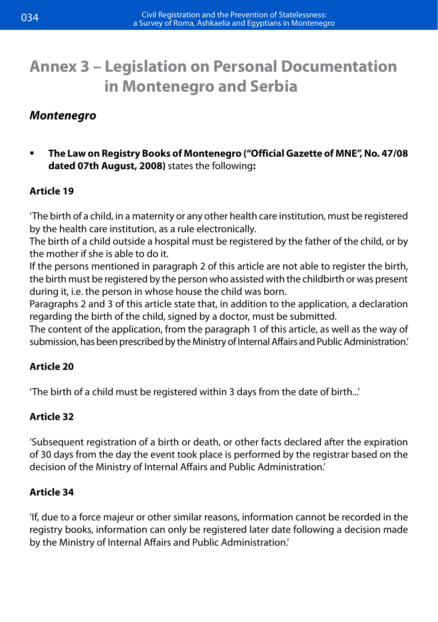## **Annex 3 – Legislation on Personal Documentation in Montenegro and Serbia**

### *Montenegro*

 **The Law on Registry Books of Montenegro ("Official Gazette of MNE", No. 47/08 dated 07th August, 2008)** states the following**:**

### **Article 19**

'The birth of a child, in a maternity or any other health care institution, must be registered by the health care institution, as a rule electronically.

The birth of a child outside a hospital must be registered by the father of the child, or by the mother if she is able to do it.

If the persons mentioned in paragraph 2 of this article are not able to register the birth, the birth must be registered by the person who assisted with the childbirth or was present during it, i.e. the person in whose house the child was born.

Paragraphs 2 and 3 of this article state that, in addition to the application, a declaration regarding the birth of the child, signed by a doctor, must be submitted.

The content of the application, from the paragraph 1 of this article, as well as the way of submission, has been prescribed by the Ministry of Internal Affairs and Public Administration.'

### **Article 20**

'The birth of a child must be registered within 3 days from the date of birth...'

### **Article 32**

'Subsequent registration of a birth or death, or other facts declared after the expiration of 30 days from the day the event took place is performed by the registrar based on the decision of the Ministry of Internal Affairs and Public Administration.'

### **Article 34**

'If, due to a force majeur or other similar reasons, information cannot be recorded in the registry books, information can only be registered later date following a decision made by the Ministry of Internal Affairs and Public Administration.'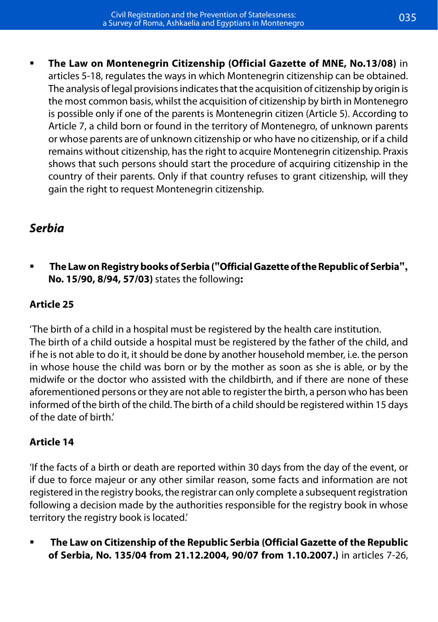**The Law on Montenegrin Citizenship (Official Gazette of MNE, No.13/08)** in articles 5-18, regulates the ways in which Montenegrin citizenship can be obtained. The analysis of legal provisions indicates that the acquisition of citizenship by origin is the most common basis, whilst the acquisition of citizenship by birth in Montenegro is possible only if one of the parents is Montenegrin citizen (Article 5). According to Article 7, a child born or found in the territory of Montenegro, of unknown parents or whose parents are of unknown citizenship or who have no citizenship, or if a child remains without citizenship, has the right to acquire Montenegrin citizenship. Praxis shows that such persons should start the procedure of acquiring citizenship in the country of their parents. Only if that country refuses to grant citizenship, will they gain the right to request Montenegrin citizenship.

### *Serbia*

  **The Law on Registry books of Serbia ("Official Gazette of the Republic of Serbia", No. 15/90, 8/94, 57/03)** states the following**:**

### **Article 25**

'The birth of a child in a hospital must be registered by the health care institution. The birth of a child outside a hospital must be registered by the father of the child, and if he is not able to do it, it should be done by another household member, i.e. the person in whose house the child was born or by the mother as soon as she is able, or by the midwife or the doctor who assisted with the childbirth, and if there are none of these aforementioned persons or they are not able to register the birth, a person who has been informed of the birth of the child. The birth of a child should be registered within 15 days of the date of birth.'

### **Article 14**

'If the facts of a birth or death are reported within 30 days from the day of the event, or if due to force majeur or any other similar reason, some facts and information are not registered in the registry books, the registrar can only complete a subsequent registration following a decision made by the authorities responsible for the registry book in whose territory the registry book is located.'

 **The Law on Citizenship of the Republic Serbia (Official Gazette of the Republic of Serbia, No. 135/04 from 21.12.2004, 90/07 from 1.10.2007.)** in articles 7-26,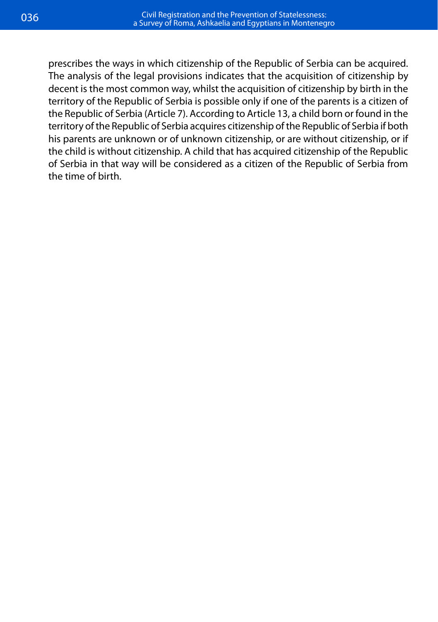prescribes the ways in which citizenship of the Republic of Serbia can be acquired. The analysis of the legal provisions indicates that the acquisition of citizenship by decent is the most common way, whilst the acquisition of citizenship by birth in the territory of the Republic of Serbia is possible only if one of the parents is a citizen of the Republic of Serbia (Article 7). According to Article 13, a child born or found in the territory of the Republic of Serbia acquires citizenship of the Republic of Serbia if both his parents are unknown or of unknown citizenship, or are without citizenship, or if the child is without citizenship. A child that has acquired citizenship of the Republic of Serbia in that way will be considered as a citizen of the Republic of Serbia from the time of birth.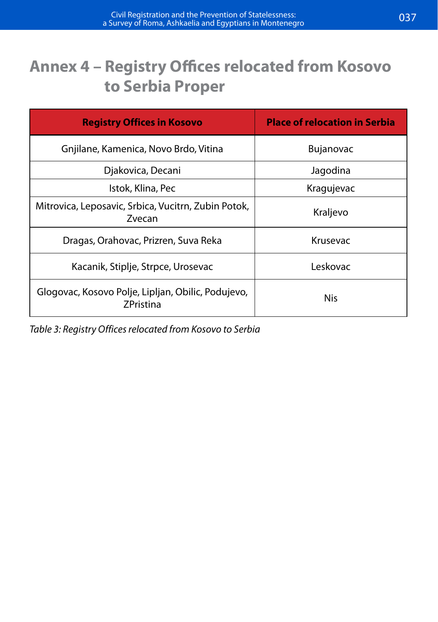# **Annex 4 – Registry Offices relocated from Kosovo to Serbia Proper**

| <b>Registry Offices in Kosovo</b>                                      | <b>Place of relocation in Serbia</b> |  |
|------------------------------------------------------------------------|--------------------------------------|--|
| Gniilane, Kamenica, Novo Brdo, Vitina                                  | <b>Bujanovac</b>                     |  |
| Djakovica, Decani                                                      | Jagodina                             |  |
| Istok, Klina, Pec                                                      | Kragujevac                           |  |
| Mitrovica, Leposavic, Srbica, Vucitrn, Zubin Potok,<br>Zvecan          | Kraljevo                             |  |
| Dragas, Orahovac, Prizren, Suva Reka                                   | Krusevac                             |  |
| Kacanik, Stiplje, Strpce, Urosevac                                     | Leskovac                             |  |
| Glogovac, Kosovo Polje, Lipljan, Obilic, Podujevo,<br><b>ZPristina</b> | Nis                                  |  |

*Table 3: Registry Offices relocated from Kosovo to Serbia*